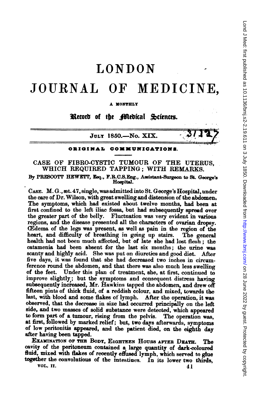# LONDON

## JOURNAL OF MEDICINE,

#### A MONTHLY

Record of the Medical Sciences.

JULY 1850.-No. XIX.

#### ORIGINAL COMMUNICATIONB.

### CASE OF FIBRO-CYSTIC TUMOUR OF THE UTERUS, WHICH REQUIRED TAPPING; WITH REMARKS.

By PRESCOTT HEWETT, Eeq., F.R.C.S.Eng., Assistant-Surgeon to St. George's Hospital.

CASE. M. G., æt. 47, single, was admitted into St. George's Hospital, under the care of Dr. Wilson, with great swelling and distension of the abdomen The symptoms, which had existed about twelve months, had been at first confined to the left iliac fossa, but had subsequently spread over the greater part of the belly. Fluctuation was very evident in various regions, and the disease presented all the characters of ovarian dropsy. (Edema of the legs was present, as well as pain in the region of the heart, and difficulty of breathing in going up stairs. The general health had not been much affected, but of late she had lost flesh; the catamenia had been absent for the last six months; the urine was scanty and highly acid. She was put on diuretics and good diet. After five days, it was found that she had decreased two inches in circumference round the abdomen, and that there was also much less swelling of the feet. Under this plan of treatment, she, at first, continued to Under this plan of treatment, she, at first, continued to improve slightly; but the symptoms and consequent distress having subsequently increased, Mr. Hawkins tapped the abdomen, and drew off fifteen pints of thick fluid, of a reddish colour, and mixed, towards the last, with blood and some flakes of lymph. After the operation, it was observed, that the decrease in size had occurred principally on the left side, and two masses of solid substance were detected, which appeared to form part of a tumour, rising from the pelvis. The operation was, at first, followed by marked relief; but, two days afterwards, symptoms of low peritonitis appeared, and the patient died, on the eighth day after having been tapped.

EXAMINATION OF THE BODY, EIGHTEEN HOURS AFTER DEATH. The cavity of the peritoneum contained a large quantity of dark-coloured fluid, mixed with flakes of recently effused lymph, which served to glue together the convolutions of the intestines. In its lower two thirds, vol.  $\text{II}$ . vol. 11.  $41$ 

Lond J Med: first published as 10.1136/bmj.s2-2.19.811 on 3 July 1850. Downloaded from http://www.bmj.com/ on 28 June 2022 by guest. Protected by copyright on 28 June 2022 by guest. Protected by copyright. <http://www.bmj.com/> Lond J Med: first published as 10.1136/bmj.s2-2.19.611 on 3 July 1850. Downloaded from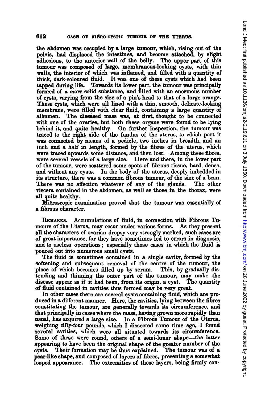the abdomen was occupied by a large tumour, which, rising out of the pelvis, had displaced the intestines, and become attached, by slight adhesions, to the anterior wall of the belly. The upper part of this adhesions, to the anterior wall of the belly. tumour was composed of large, membranous-looking cysts, with thin walls, the interior of which was inflamed, and filled with a quantity of thick, dark-coloured fluid. It was one of these cysts which had been It was one of these cysts which had been tapped during life. Towards its lower part, the tumour was principally formed of a more solid substance, and filled with an enormous number of cysts, varying from the size of a pin's head to that of a large orange. These cysts, which were all lined with a thin, smooth, delicate-looking membrane, were filled with clear fluid, containing a large quantity of albumen. The diseased mass was, at first, thought to be connected with one of the ovaries, but both these organs were found to be lying behind it, and quite healthy. On further inspection, the tumour was traced to the right side of the fundus of the uterus, to which part it was connected by means of a pediele, two inches in breadth, and an inch and a half in length, formed by the fibres of the uterus, which were traced upwards some distance, and then lost. Among these fibres, were several vessels of a large size. Here and there, in the lower part of the tumour, were scattered some spots of fibrous tissue, hard, dense, and without any cysts. In the body of the uterus, deeply imbedded in its structure, there was <sup>a</sup> common fibrous tumour, of the size of <sup>a</sup> bean. There was no affection whatever of any of the glands. viscera contained in the abdomen, as well as those in the thorax, were all quite healthy.

Mieroscopic examination proved that the tumour was essentially of a fibrous character.

RExARKS. Accumulations of fluid, in connection with Fibrous Tumours of the Uterus, may occur under various forms. As they present all the characters of ovarian dropsy very strongly marked, such cases are of great importance, for they have sometimes led to errors in diagnosis, and to useless operations; especially those cases in which the fluid is poured out into numerous small cysts.

The fluid is sometimes contained in a single cavity, formed by the softening and subsequent removal of the centre of the tumour, the place of which becomes filled up by serum. This, by gradually distending and thinning the outer part of the tumour, may make the disease appear as if it had been, from its origin, a cyst. The quantity of fluid contained in cavities thus formed may be very great.

In other cases there are several cysts containing fluid, which are produced in a different manner. Here, the cavities, lying between the fibres constituting the tumour, are generally towards its circumference, and that principally in cases where the mass, having grown more rapidly than usual, has acquired a large size. In a Fibrous Tumour of the Uterus, weighing fifty-four pounds, which I dissected some time ago, I found several cavities, which were all situated towards its circumference. Some of these were round, others of a semi-lunar sbape-the latter appearing to have been the original shape of the greater number of the cysts. Their formation may be thus explained. The tumour was of a pear-like shape, and composed of layers of fibres, presenting a somewhat looped appearance. The extremities of these layers, being firmly con-The extremities of these layers, being firmly con-